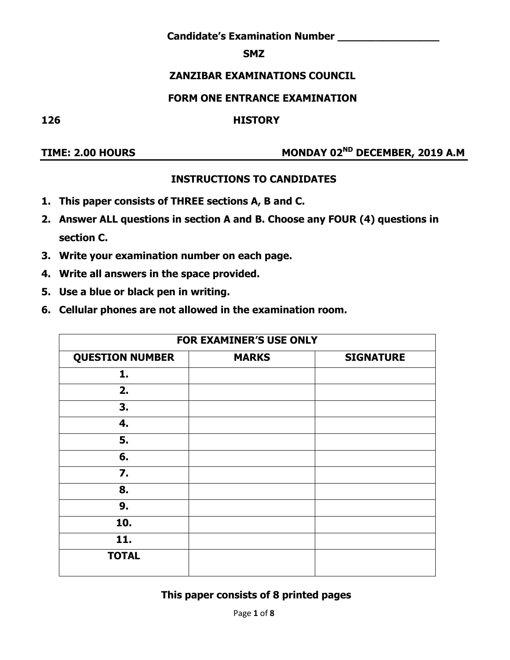**Candidate's Examination Number \_\_\_\_\_\_\_\_\_\_\_\_\_\_\_\_**

#### **SMZ**

# **ZANZIBAR EXAMINATIONS COUNCIL**

#### **FORM ONE ENTRANCE EXAMINATION**

#### **126 HISTORY**

# TIME: 2.00 HOURS MONDAY 02<sup>ND</sup> DECEMBER, 2019 A.M

# **INSTRUCTIONS TO CANDIDATES**

- **1. This paper consists of THREE sections A, B and C.**
- **2. Answer ALL questions in section A and B. Choose any FOUR (4) questions in section C.**
- **3. Write your examination number on each page.**
- **4. Write all answers in the space provided.**
- **5. Use a blue or black pen in writing.**
- **6. Cellular phones are not allowed in the examination room.**

| <b>FOR EXAMINER'S USE ONLY</b>                             |  |  |  |  |  |  |
|------------------------------------------------------------|--|--|--|--|--|--|
| <b>QUESTION NUMBER</b><br><b>SIGNATURE</b><br><b>MARKS</b> |  |  |  |  |  |  |
| 1.                                                         |  |  |  |  |  |  |
| 2.                                                         |  |  |  |  |  |  |
| 3.                                                         |  |  |  |  |  |  |
| 4.                                                         |  |  |  |  |  |  |
| 5.                                                         |  |  |  |  |  |  |
| 6.                                                         |  |  |  |  |  |  |
| 7.                                                         |  |  |  |  |  |  |
| 8.                                                         |  |  |  |  |  |  |
| 9.                                                         |  |  |  |  |  |  |
| 10.                                                        |  |  |  |  |  |  |
| 11.                                                        |  |  |  |  |  |  |
| <b>TOTAL</b>                                               |  |  |  |  |  |  |

#### **This paper consists of 8 printed pages**

Page **1** of **8**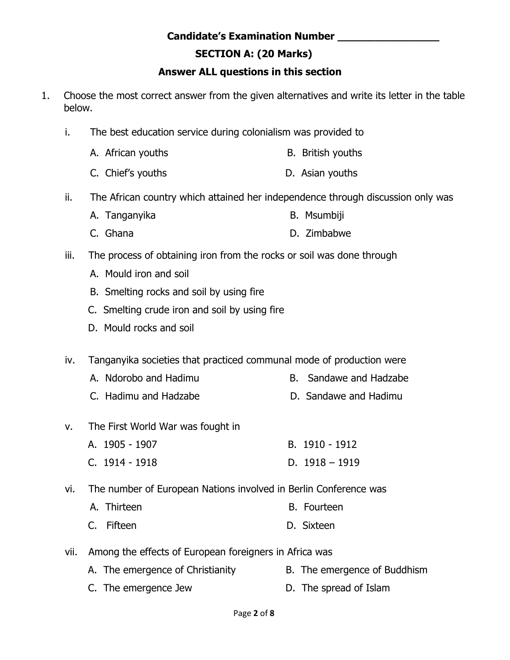#### **Candidate's Examination Number \_\_\_\_\_\_\_\_\_\_\_\_\_\_\_\_**

# **SECTION A: (20 Marks)**

# **Answer ALL questions in this section**

- 1. Choose the most correct answer from the given alternatives and write its letter in the table below.
	- i. The best education service during colonialism was provided to
		- A. African youths B. British youths
		- C. Chief's youths D. Asian youths
	- ii. The African country which attained her independence through discussion only was
		- A. Tanganyika B. Msumbiji
		- C. Ghana D. Zimbabwe
	- iii. The process of obtaining iron from the rocks or soil was done through
		- A. Mould iron and soil
		- B. Smelting rocks and soil by using fire
		- C. Smelting crude iron and soil by using fire
		- D. Mould rocks and soil

iv. Tanganyika societies that practiced communal mode of production were

- A. Ndorobo and Hadimu B. Sandawe and Hadzabe
- C. Hadimu and Hadzabe D. Sandawe and Hadimu
- v. The First World War was fought in
	- A. 1905 1907 B. 1910 1912
	- C. 1914 1918 D. 1918 1919
- vi. The number of European Nations involved in Berlin Conference was
	- A. Thirteen B. Fourteen
	- C. Fifteen D. Sixteen
- vii. Among the effects of European foreigners in Africa was
	- A. The emergence of Christianity B. The emergence of Buddhism
	- C. The emergence Jew D. The spread of Islam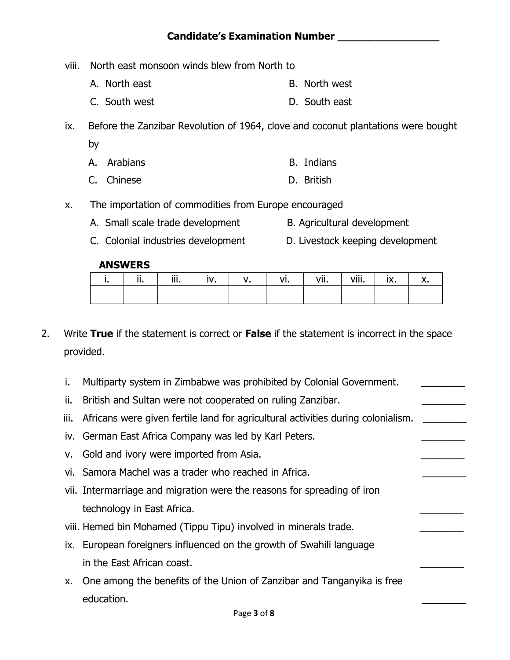- viii. North east monsoon winds blew from North to
	- A. North east B. North west
	- C. South west D. South east
- ix. Before the Zanzibar Revolution of 1964, clove and coconut plantations were bought by
	- A. Arabians **B. Indians**
	- C. Chinese D. British
- x. The importation of commodities from Europe encouraged
	- A. Small scale trade development B. Agricultural development
	- C. Colonial industries development D. Livestock keeping development

#### **ANSWERS**

|  | m | ν. | VI | vii. | viii. | IV<br>Iv. |  |
|--|---|----|----|------|-------|-----------|--|
|  |   |    |    |      |       |           |  |

- 2. Write **True** if the statement is correct or **False** if the statement is incorrect in the space provided.
	- i. Multiparty system in Zimbabwe was prohibited by Colonial Government.
	- ii. British and Sultan were not cooperated on ruling Zanzibar.
	- iii. Africans were given fertile land for agricultural activities during colonialism.
	- iv. German East Africa Company was led by Karl Peters.
	- v. Gold and ivory were imported from Asia.
	- vi. Samora Machel was a trader who reached in Africa.
	- vii. Intermarriage and migration were the reasons for spreading of iron technology in East Africa.
	- viii. Hemed bin Mohamed (Tippu Tipu) involved in minerals trade.
	- ix. European foreigners influenced on the growth of Swahili language in the East African coast.
	- x. One among the benefits of the Union of Zanzibar and Tanganyika is free education. \_\_\_\_\_\_\_\_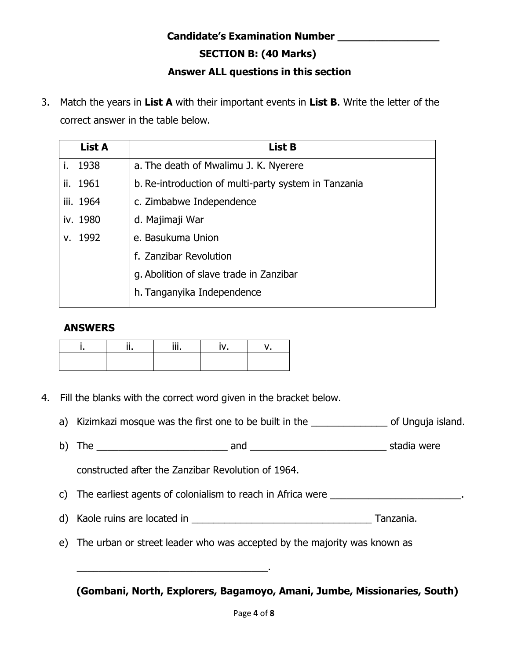# **Candidate's Examination Number \_\_\_\_\_\_\_\_\_\_\_\_\_\_\_\_**

 **SECTION B: (40 Marks)** 

## **Answer ALL questions in this section**

3. Match the years in **List A** with their important events in **List B**. Write the letter of the correct answer in the table below.

| <b>List A</b> | List B                                               |
|---------------|------------------------------------------------------|
| i. 1938       | a. The death of Mwalimu J. K. Nyerere                |
| ii. 1961      | b. Re-introduction of multi-party system in Tanzania |
| iii. 1964     | c. Zimbabwe Independence                             |
| iv. 1980      | d. Majimaji War                                      |
| v. 1992       | e. Basukuma Union                                    |
|               | f. Zanzibar Revolution                               |
|               | g. Abolition of slave trade in Zanzibar              |
|               | h. Tanganyika Independence                           |

#### **ANSWERS**

|  | $\cdots$ |  |
|--|----------|--|
|  |          |  |

- 4. Fill the blanks with the correct word given in the bracket below.
	- a) Kizimkazi mosque was the first one to be built in the \_\_\_\_\_\_\_\_\_\_\_\_\_\_\_\_\_ of Unguja island.
	- b) The \_\_\_\_\_\_\_\_\_\_\_\_\_\_\_\_\_\_\_\_\_\_\_\_ and \_\_\_\_\_\_\_\_\_\_\_\_\_\_\_\_\_\_\_\_\_\_\_\_\_ stadia were

constructed after the Zanzibar Revolution of 1964.

\_\_\_\_\_\_\_\_\_\_\_\_\_\_\_\_\_\_\_\_\_\_\_\_\_\_\_\_\_\_\_\_\_\_\_.

c) The earliest agents of colonialism to reach in Africa were \_\_\_\_\_\_\_\_\_\_\_\_\_\_\_\_\_\_\_\_\_\_\_\_.

- d) Kaole ruins are located in \_\_\_\_\_\_\_\_\_\_\_\_\_\_\_\_\_\_\_\_\_\_\_\_\_\_\_\_\_\_\_\_\_ Tanzania.
- e) The urban or street leader who was accepted by the majority was known as

 **(Gombani, North, Explorers, Bagamoyo, Amani, Jumbe, Missionaries, South)**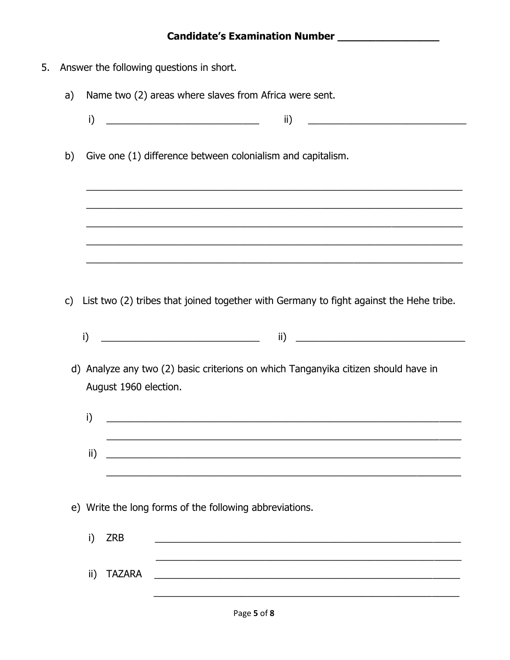5. Answer the following questions in short. Name two (2) areas where slaves from Africa were sent. a)  $\mathbf{i}$  $\mathsf{ii}$ b) Give one (1) difference between colonialism and capitalism. c) List two (2) tribes that joined together with Germany to fight against the Hehe tribe. d) Analyze any two (2) basic criterions on which Tanganyika citizen should have in August 1960 election.  $i)$  $\mathsf{ii)}$   $\qquad \qquad$ e) Write the long forms of the following abbreviations. i) ZRB <u> 1989 - Jan James James James James James James James James James James James James James James James James J</u> ii) TAZARA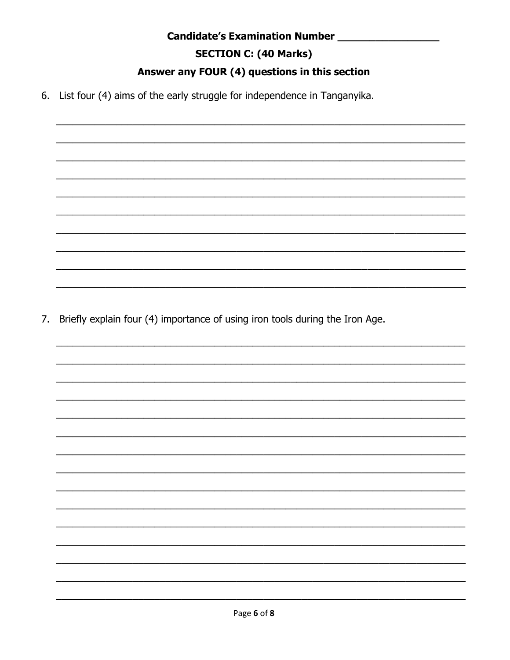#### **Candidate's Examination Number Manufation Candidate's Examination Number**

# **SECTION C: (40 Marks)**

# Answer any FOUR (4) questions in this section

6. List four (4) aims of the early struggle for independence in Tanganyika.

7. Briefly explain four (4) importance of using iron tools during the Iron Age.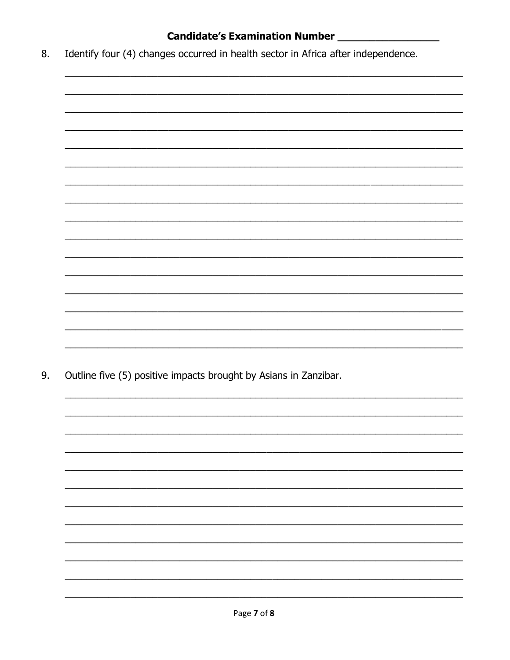# Candidate's Examination Number \_\_\_\_\_\_\_\_\_\_\_\_\_\_\_\_\_\_\_

Identify four (4) changes occurred in health sector in Africa after independence. 8.



9. Outline five (5) positive impacts brought by Asians in Zanzibar.